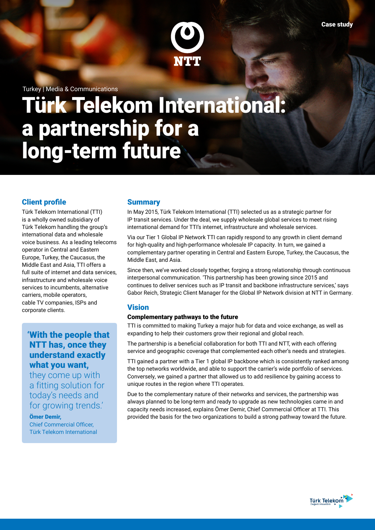

Turkey | Media & Communications

# Türk Telekom International: a partnership for a long-term future

# Client profile

Türk Telekom International (TTI) is a wholly owned subsidiary of Türk Telekom handling the group's international data and wholesale voice business. As a leading telecoms operator in Central and Eastern Europe, Turkey, the Caucasus, the Middle East and Asia, TTI offers a full suite of internet and data services, infrastructure and wholesale voice services to incumbents, alternative carriers, mobile operators, cable TV companies, ISPs and corporate clients.

# 'With the people that NTT has, once they understand exactly what you want,

they come up with a fitting solution for today's needs and for growing trends.'

#### Ömer Demir,

Chief Commercial Officer, Türk Telekom International

#### **Summary**

In May 2015, Türk Telekom International (TTI) selected us as a strategic partner for IP transit services. Under the deal, we supply wholesale global services to meet rising international demand for TTI's internet, infrastructure and wholesale services.

Via our Tier 1 Global IP Network TTI can rapidly respond to any growth in client demand for high-quality and high-performance wholesale IP capacity. In turn, we gained a complementary partner operating in Central and Eastern Europe, Turkey, the Caucasus, the Middle East, and Asia.

Since then, we've worked closely together, forging a strong relationship through continuous interpersonal communication. 'This partnership has been growing since 2015 and continues to deliver services such as IP transit and backbone infrastructure services,' says Gabor Reich, Strategic Client Manager for the Global IP Network division at NTT in Germany.

### Vision

#### Complementary pathways to the future

TTI is committed to making Turkey a major hub for data and voice exchange, as well as expanding to help their customers grow their regional and global reach.

The partnership is a beneficial collaboration for both TTI and NTT, with each offering service and geographic coverage that complemented each other's needs and strategies.

TTI gained a partner with a Tier 1 global IP backbone which is consistently ranked among the top networks worldwide, and able to support the carrier's wide portfolio of services. Conversely, we gained a partner that allowed us to add resilience by gaining access to unique routes in the region where TTI operates.

Due to the complementary nature of their networks and services, the partnership was always planned to be long-term and ready to upgrade as new technologies came in and capacity needs increased, explains Ömer Demir, Chief Commercial Officer at TTI. This provided the basis for the two organizations to build a strong pathway toward the future.